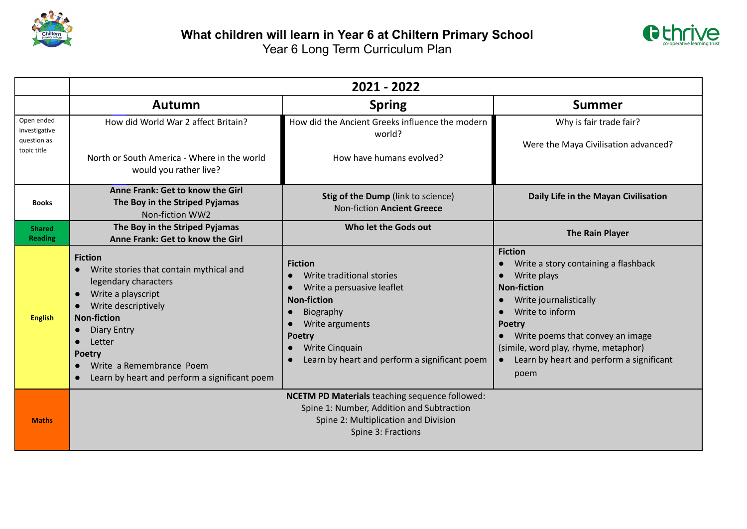



|                                                           | 2021 - 2022                                                                                                                                                                                                                                                                                                               |                                                                                                                                                                                                                                         |                                                                                                                                                                                                                                                                                           |  |
|-----------------------------------------------------------|---------------------------------------------------------------------------------------------------------------------------------------------------------------------------------------------------------------------------------------------------------------------------------------------------------------------------|-----------------------------------------------------------------------------------------------------------------------------------------------------------------------------------------------------------------------------------------|-------------------------------------------------------------------------------------------------------------------------------------------------------------------------------------------------------------------------------------------------------------------------------------------|--|
|                                                           | Autumn                                                                                                                                                                                                                                                                                                                    | <b>Spring</b>                                                                                                                                                                                                                           | <b>Summer</b>                                                                                                                                                                                                                                                                             |  |
| Open ended<br>investigative<br>question as<br>topic title | How did World War 2 affect Britain?                                                                                                                                                                                                                                                                                       | How did the Ancient Greeks influence the modern<br>world?                                                                                                                                                                               | Why is fair trade fair?<br>Were the Maya Civilisation advanced?                                                                                                                                                                                                                           |  |
|                                                           | North or South America - Where in the world<br>would you rather live?                                                                                                                                                                                                                                                     | How have humans evolved?                                                                                                                                                                                                                |                                                                                                                                                                                                                                                                                           |  |
| <b>Books</b>                                              | Anne Frank: Get to know the Girl<br>The Boy in the Striped Pyjamas<br>Non-fiction WW2                                                                                                                                                                                                                                     | Stig of the Dump (link to science)<br><b>Non-fiction Ancient Greece</b>                                                                                                                                                                 | Daily Life in the Mayan Civilisation                                                                                                                                                                                                                                                      |  |
| <b>Shared</b><br><b>Reading</b>                           | The Boy in the Striped Pyjamas<br>Anne Frank: Get to know the Girl                                                                                                                                                                                                                                                        | Who let the Gods out                                                                                                                                                                                                                    | <b>The Rain Player</b>                                                                                                                                                                                                                                                                    |  |
| <b>English</b>                                            | <b>Fiction</b><br>Write stories that contain mythical and<br>legendary characters<br>Write a playscript<br>$\bullet$<br>Write descriptively<br>$\bullet$<br><b>Non-fiction</b><br><b>Diary Entry</b><br>Letter<br><b>Poetry</b><br>Write a Remembrance Poem<br>Learn by heart and perform a significant poem<br>$\bullet$ | <b>Fiction</b><br>Write traditional stories<br>Write a persuasive leaflet<br><b>Non-fiction</b><br>Biography<br>Write arguments<br>$\bullet$<br><b>Poetry</b><br><b>Write Cinquain</b><br>Learn by heart and perform a significant poem | <b>Fiction</b><br>Write a story containing a flashback<br>Write plays<br><b>Non-fiction</b><br>Write journalistically<br>Write to inform<br><b>Poetry</b><br>Write poems that convey an image<br>(simile, word play, rhyme, metaphor)<br>Learn by heart and perform a significant<br>poem |  |
| <b>Maths</b>                                              |                                                                                                                                                                                                                                                                                                                           | <b>NCETM PD Materials</b> teaching sequence followed:<br>Spine 1: Number, Addition and Subtraction<br>Spine 2: Multiplication and Division<br>Spine 3: Fractions                                                                        |                                                                                                                                                                                                                                                                                           |  |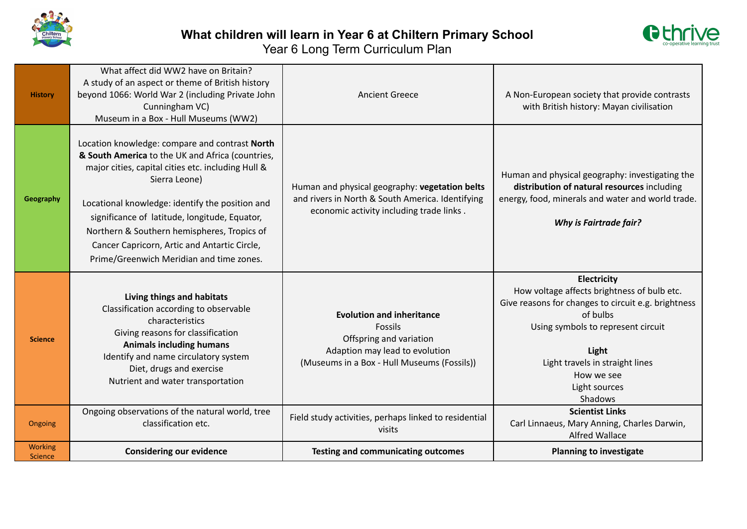



| <b>History</b>                   | What affect did WW2 have on Britain?<br>A study of an aspect or theme of British history<br>beyond 1066: World War 2 (including Private John<br>Cunningham VC)<br>Museum in a Box - Hull Museums (WW2)                                                                                                                                                                                                                   | <b>Ancient Greece</b>                                                                                                                                   | A Non-European society that provide contrasts<br>with British history: Mayan civilisation                                                                                                                                                                 |
|----------------------------------|--------------------------------------------------------------------------------------------------------------------------------------------------------------------------------------------------------------------------------------------------------------------------------------------------------------------------------------------------------------------------------------------------------------------------|---------------------------------------------------------------------------------------------------------------------------------------------------------|-----------------------------------------------------------------------------------------------------------------------------------------------------------------------------------------------------------------------------------------------------------|
| Geography                        | Location knowledge: compare and contrast North<br>& South America to the UK and Africa (countries,<br>major cities, capital cities etc. including Hull &<br>Sierra Leone)<br>Locational knowledge: identify the position and<br>significance of latitude, longitude, Equator,<br>Northern & Southern hemispheres, Tropics of<br>Cancer Capricorn, Artic and Antartic Circle,<br>Prime/Greenwich Meridian and time zones. | Human and physical geography: vegetation belts<br>and rivers in North & South America. Identifying<br>economic activity including trade links.          | Human and physical geography: investigating the<br>distribution of natural resources including<br>energy, food, minerals and water and world trade.<br><b>Why is Fairtrade fair?</b>                                                                      |
| <b>Science</b>                   | Living things and habitats<br>Classification according to observable<br>characteristics<br>Giving reasons for classification<br><b>Animals including humans</b><br>Identify and name circulatory system<br>Diet, drugs and exercise<br>Nutrient and water transportation                                                                                                                                                 | <b>Evolution and inheritance</b><br>Fossils<br>Offspring and variation<br>Adaption may lead to evolution<br>(Museums in a Box - Hull Museums (Fossils)) | Electricity<br>How voltage affects brightness of bulb etc.<br>Give reasons for changes to circuit e.g. brightness<br>of bulbs<br>Using symbols to represent circuit<br>Light<br>Light travels in straight lines<br>How we see<br>Light sources<br>Shadows |
| Ongoing                          | Ongoing observations of the natural world, tree<br>classification etc.                                                                                                                                                                                                                                                                                                                                                   | Field study activities, perhaps linked to residential<br>visits                                                                                         | <b>Scientist Links</b><br>Carl Linnaeus, Mary Anning, Charles Darwin,<br><b>Alfred Wallace</b>                                                                                                                                                            |
| <b>Working</b><br><b>Science</b> | <b>Considering our evidence</b>                                                                                                                                                                                                                                                                                                                                                                                          | <b>Testing and communicating outcomes</b>                                                                                                               | <b>Planning to investigate</b>                                                                                                                                                                                                                            |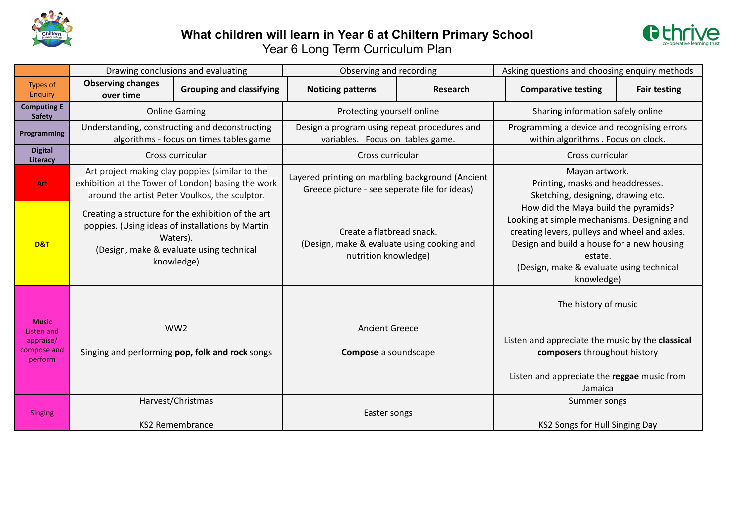

## **What children will learn in Year 6 at Chiltern Primary School** Year 6 Long Term Curriculum Plan



|                                                                          |                                                                                                                                                                                                                                                                                 | Drawing conclusions and evaluating                                                                                                                                                                                                                                                                                                                       | Observing and recording                                                                                                                                                                                                                                 |          | Asking questions and choosing enquiry methods                                                                                                                      |                     |
|--------------------------------------------------------------------------|---------------------------------------------------------------------------------------------------------------------------------------------------------------------------------------------------------------------------------------------------------------------------------|----------------------------------------------------------------------------------------------------------------------------------------------------------------------------------------------------------------------------------------------------------------------------------------------------------------------------------------------------------|---------------------------------------------------------------------------------------------------------------------------------------------------------------------------------------------------------------------------------------------------------|----------|--------------------------------------------------------------------------------------------------------------------------------------------------------------------|---------------------|
| <b>Types of</b><br>Enquiry                                               | <b>Observing changes</b><br>over time                                                                                                                                                                                                                                           | <b>Grouping and classifying</b>                                                                                                                                                                                                                                                                                                                          | <b>Noticing patterns</b>                                                                                                                                                                                                                                | Research | <b>Comparative testing</b>                                                                                                                                         | <b>Fair testing</b> |
| <b>Computing E</b><br><b>Safety</b>                                      | <b>Online Gaming</b>                                                                                                                                                                                                                                                            |                                                                                                                                                                                                                                                                                                                                                          | Protecting yourself online                                                                                                                                                                                                                              |          | Sharing information safely online                                                                                                                                  |                     |
| Programming                                                              | Understanding, constructing and deconstructing<br>algorithms - focus on times tables game                                                                                                                                                                                       |                                                                                                                                                                                                                                                                                                                                                          | Design a program using repeat procedures and<br>variables. Focus on tables game.                                                                                                                                                                        |          | Programming a device and recognising errors<br>within algorithms . Focus on clock.                                                                                 |                     |
| <b>Digital</b><br>Literacy                                               | Cross curricular                                                                                                                                                                                                                                                                |                                                                                                                                                                                                                                                                                                                                                          | Cross curricular                                                                                                                                                                                                                                        |          | Cross curricular                                                                                                                                                   |                     |
| Art                                                                      |                                                                                                                                                                                                                                                                                 | Art project making clay poppies (similar to the<br>Mayan artwork.<br>Layered printing on marbling background (Ancient<br>exhibition at the Tower of London) basing the work<br>Printing, masks and headdresses.<br>Greece picture - see seperate file for ideas)<br>around the artist Peter Voulkos, the sculptor.<br>Sketching, designing, drawing etc. |                                                                                                                                                                                                                                                         |          |                                                                                                                                                                    |                     |
| D&T                                                                      | Creating a structure for the exhibition of the art<br>poppies. (Using ideas of installations by Martin<br>Create a flatbread snack.<br>Waters).<br>(Design, make & evaluate using cooking and<br>(Design, make & evaluate using technical<br>nutrition knowledge)<br>knowledge) |                                                                                                                                                                                                                                                                                                                                                          | How did the Maya build the pyramids?<br>Looking at simple mechanisms. Designing and<br>creating levers, pulleys and wheel and axles.<br>Design and build a house for a new housing<br>estate.<br>(Design, make & evaluate using technical<br>knowledge) |          |                                                                                                                                                                    |                     |
| <b>Music</b><br><b>Listen and</b><br>appraise/<br>compose and<br>perform |                                                                                                                                                                                                                                                                                 | WW <sub>2</sub><br>Singing and performing pop, folk and rock songs                                                                                                                                                                                                                                                                                       | <b>Ancient Greece</b><br>Compose a soundscape                                                                                                                                                                                                           |          | The history of music<br>Listen and appreciate the music by the classical<br>composers throughout history<br>Listen and appreciate the reggae music from<br>Jamaica |                     |
| <b>Singing</b>                                                           |                                                                                                                                                                                                                                                                                 | Harvest/Christmas<br><b>KS2 Remembrance</b>                                                                                                                                                                                                                                                                                                              | Easter songs                                                                                                                                                                                                                                            |          | Summer songs<br>KS2 Songs for Hull Singing Day                                                                                                                     |                     |